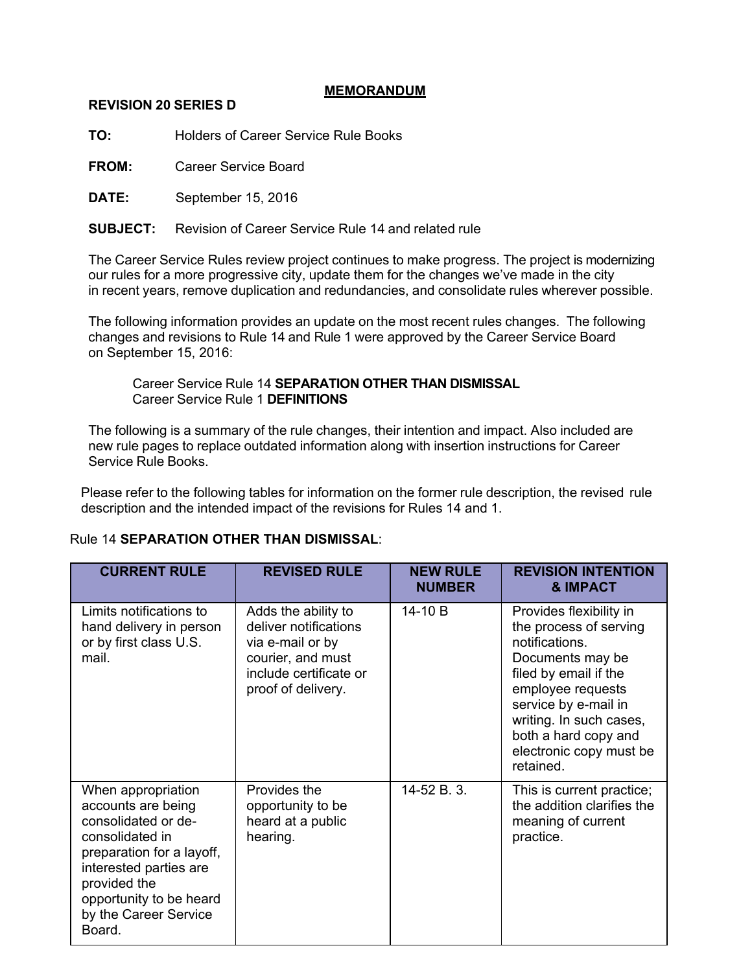## **MEMORANDUM**

### **REVISION 20 SERIES D**

**TO:** Holders of Career Service Rule Books

**FROM:** Career Service Board

**DATE:** September 15, 2016

**SUBJECT:** Revision of Career Service Rule 14 and related rule

The Career Service Rules review project continues to make progress. The project is modernizing our rules for a more progressive city, update them for the changes we've made in the city in recent years, remove duplication and redundancies, and consolidate rules wherever possible.

The following information provides an update on the most recent rules changes. The following changes and revisions to Rule 14 and Rule 1 were approved by the Career Service Board on September 15, 2016:

#### Career Service Rule 14 **SEPARATION OTHER THAN DISMISSAL** Career Service Rule 1 **DEFINITIONS**

The following is a summary of the rule changes, their intention and impact. Also included are new rule pages to replace outdated information along with insertion instructions for Career Service Rule Books.

Please refer to the following tables for information on the former rule description, the revised rule description and the intended impact of the revisions for Rules 14 and 1.

#### Rule 14 **SEPARATION OTHER THAN DISMISSAL**:

| <b>CURRENT RULE</b>                                                                                                                                                                                                     | <b>REVISED RULE</b>                                                                                                                   | <b>NEW RULE</b><br><b>NUMBER</b> | <b>REVISION INTENTION</b><br>& IMPACT                                                                                                                                                                                                                    |
|-------------------------------------------------------------------------------------------------------------------------------------------------------------------------------------------------------------------------|---------------------------------------------------------------------------------------------------------------------------------------|----------------------------------|----------------------------------------------------------------------------------------------------------------------------------------------------------------------------------------------------------------------------------------------------------|
| Limits notifications to<br>hand delivery in person<br>or by first class U.S.<br>mail.                                                                                                                                   | Adds the ability to<br>deliver notifications<br>via e-mail or by<br>courier, and must<br>include certificate or<br>proof of delivery. | 14-10 B                          | Provides flexibility in<br>the process of serving<br>notifications.<br>Documents may be<br>filed by email if the<br>employee requests<br>service by e-mail in<br>writing. In such cases,<br>both a hard copy and<br>electronic copy must be<br>retained. |
| When appropriation<br>accounts are being<br>consolidated or de-<br>consolidated in<br>preparation for a layoff,<br>interested parties are<br>provided the<br>opportunity to be heard<br>by the Career Service<br>Board. | Provides the<br>opportunity to be<br>heard at a public<br>hearing.                                                                    | 14-52 B. 3.                      | This is current practice;<br>the addition clarifies the<br>meaning of current<br>practice.                                                                                                                                                               |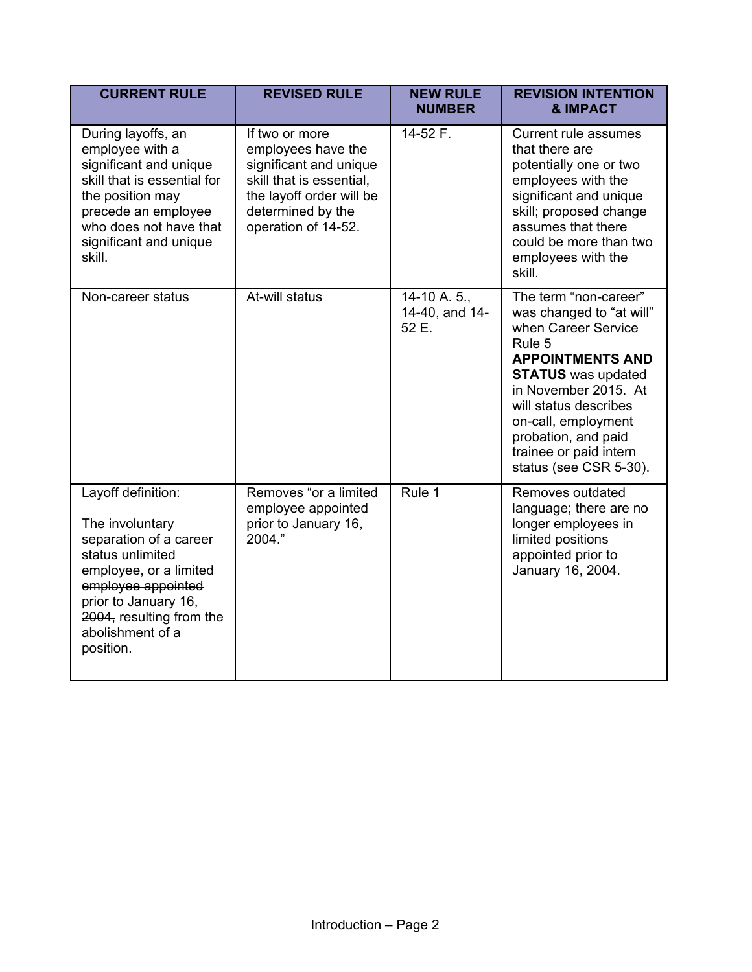| <b>CURRENT RULE</b>                                                                                                                                                                                                      | <b>REVISED RULE</b>                                                                                                                                                | <b>NEW RULE</b><br><b>NUMBER</b>        | <b>REVISION INTENTION</b><br><b>&amp; IMPACT</b>                                                                                                                                                                                                                                              |
|--------------------------------------------------------------------------------------------------------------------------------------------------------------------------------------------------------------------------|--------------------------------------------------------------------------------------------------------------------------------------------------------------------|-----------------------------------------|-----------------------------------------------------------------------------------------------------------------------------------------------------------------------------------------------------------------------------------------------------------------------------------------------|
| During layoffs, an<br>employee with a<br>significant and unique<br>skill that is essential for<br>the position may<br>precede an employee<br>who does not have that<br>significant and unique<br>skill.                  | If two or more<br>employees have the<br>significant and unique<br>skill that is essential,<br>the layoff order will be<br>determined by the<br>operation of 14-52. | 14-52 F.                                | Current rule assumes<br>that there are<br>potentially one or two<br>employees with the<br>significant and unique<br>skill; proposed change<br>assumes that there<br>could be more than two<br>employees with the<br>skill.                                                                    |
| Non-career status                                                                                                                                                                                                        | At-will status                                                                                                                                                     | 14-10 A. 5.,<br>14-40, and 14-<br>52 E. | The term "non-career"<br>was changed to "at will"<br>when Career Service<br>Rule 5<br><b>APPOINTMENTS AND</b><br><b>STATUS</b> was updated<br>in November 2015. At<br>will status describes<br>on-call, employment<br>probation, and paid<br>trainee or paid intern<br>status (see CSR 5-30). |
| Layoff definition:<br>The involuntary<br>separation of a career<br>status unlimited<br>employee, or a limited<br>employee appointed<br>prior to January 16,<br>2004, resulting from the<br>abolishment of a<br>position. | Removes "or a limited<br>employee appointed<br>prior to January 16,<br>2004."                                                                                      | Rule 1                                  | Removes outdated<br>language; there are no<br>longer employees in<br>limited positions<br>appointed prior to<br>January 16, 2004.                                                                                                                                                             |